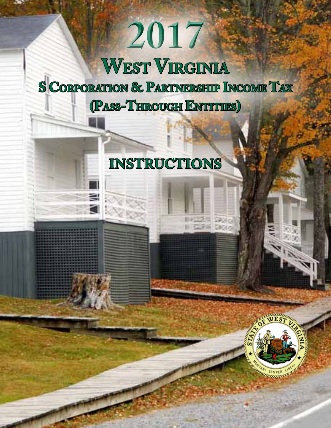# **2017 West Virginia S Corporation & Partnership Income Tax (Pass-Through Entities)**

## **Instructions**



Ø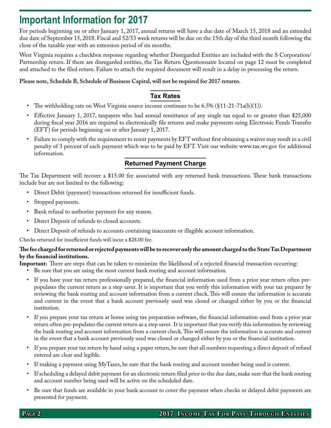### **Important Information for 2017**

For periods beginning on or after January 1, 2017, annual returns will have a due date of March 15, 2018 and an extended due date of September 15, 2018. Fiscal and 52/53 week returns will be due on the 15th day of the third month following the close of the taxable year with an extension period of six months.

West Virginia requires a checkbox response regarding whether Disregarded Entities are included with the S Corporation/ Partnership return. If there are disregarded entities, the Tax Return Questionnaire located on page 12 must be completed and attached to the filed return. Failure to attach the required document will result in a delay in processing the return.

#### **Please note, Schedule B, Schedule of Business Capital, will not be required for 2017 returns.**

#### **Tax Rates**

- The withholding rate on West Virginia source income continues to be 6.5% (§11-21-71a(b)(1)).
- Effective January 1, 2017, taxpayers who had annual remittance of any single tax equal to or greater than \$25,000 during fiscal year 2016 are required to electronically file returns and make payments using Electronic Funds Transfer (EFT) for periods beginning on or after January 1, 2017.
- Failure to comply with the requirement to remit payments by EFT without first obtaining a waiver may result in a civil penalty of 3 percent of each payment which was to be paid by EFT. Visit our website www.tax.wv.gov for additional information.

### **Returned Payment Charge**

The Tax Department will recover a \$15.00 fee associated with any returned bank transactions. These bank transactions include but are not limited to the following:

- • Direct Debit (payment) transactions returned for insufficient funds.
- Stopped payments.
- Bank refusal to authorize payment for any reason.
- Direct Deposit of refunds to closed accounts.
- Direct Deposit of refunds to accounts containing inaccurate or illegible account information.

Checks returned for insufficient funds will incur a \$28.00 fee.

#### **The fee charged for returned or rejected payments will be to recover only the amount charged to the State Tax Department by the financial institutions.**

**Important:** There are steps that can be taken to minimize the likelihood of a rejected financial transaction occurring:

- Be sure that you are using the most current bank routing and account information.
- If you have your tax return professionally prepared, the financial information used from a prior year return often prepopulates the current return as a step saver. It is important that you verify this information with your tax preparer by reviewing the bank routing and account information from a current check. This will ensure the information is accurate and current in the event that a bank account previously used was closed or changed either by you or the financial institution.
- If you prepare your tax return at home using tax preparation software, the financial information used from a prior year return often pre-populates the current return as a step saver. It is important that you verify this information by reviewing the bank routing and account information from a current check. This will ensure the information is accurate and current in the event that a bank account previously used was closed or changed either by you or the financial institution.
- If you prepare your tax return by hand using a paper return, be sure that all numbers requesting a direct deposit of refund entered are clear and legible.
- If making a payment using MyTaxes, be sure that the bank routing and account number being used is current.
- If scheduling a delayed debit payment for an electronic return filed prior to the due date, make sure that the bank routing and account number being used will be active on the scheduled date.
- • Be sure that funds are available in your bank account to cover the payment when checks or delayed debit payments are presented for payment.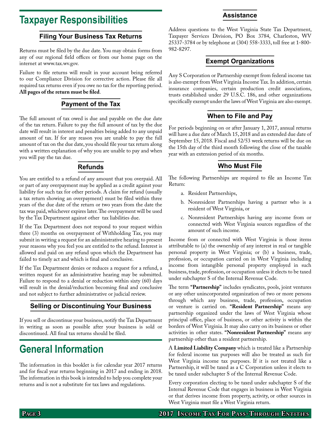### **Taxpayer Responsibilities**

#### **Filing Your Business Tax Returns**

Returns must be filed by the due date. You may obtain forms from any of our regional field offices or from our home page on the internet at www.tax.wv.gov.

Failure to file returns will result in your account being referred to our Compliance Division for corrective action. Please file all required tax returns even if you owe no tax for the reporting period. **All pages of the return must be filed**.

#### **Payment of the Tax**

The full amount of tax owed is due and payable on the due date of the tax return. Failure to pay the full amount of tax by the due date will result in interest and penalties being added to any unpaid amount of tax. If for any reason you are unable to pay the full amount of tax on the due date, you should file your tax return along with a written explanation of why you are unable to pay and when you will pay the tax due.

#### **Refunds**

You are entitled to a refund of any amount that you overpaid. All or part of any overpayment may be applied as a credit against your liability for such tax for other periods. A claim for refund (usually a tax return showing an overpayment) must be filed within three years of the due date of the return or two years from the date the tax was paid, whichever expires later. The overpayment will be used by the Tax Department against other tax liabilities due.

If the Tax Department does not respond to your request within three (3) months on overpayment of Withholding Tax, you may submit in writing a request for an administrative hearing to present your reasons why you feel you are entitled to the refund. Interest is allowed and paid on any refund upon which the Department has failed to timely act and which is final and conclusive.

If the Tax Department denies or reduces a request for a refund, a written request for an administrative hearing may be submitted. Failure to respond to a denial or reduction within sixty (60) days will result in the denial/reduction becoming final and conclusive and not subject to further administrative or judicial review.

#### **Selling or Discontinuing Your Business**

If you sell or discontinue your business, notify the Tax Department in writing as soon as possible after your business is sold or discontinued. All final tax returns should be filed.

### **General Information**

The information in this booklet is for calendar year 2017 returns and for fiscal year returns beginning in 2017 and ending in 2018. The information in this book is intended to help you complete your returns and is not a substitute for tax laws and regulations.

#### Address questions to the West Virginia State Tax Department, Taxpayer Services Division, PO Box 3784, Charleston, WV 25337-3784 or by telephone at (304) 558-3333, toll free at 1-800- 982-8297.

**Assistance**

#### **Exempt Organizations**

Any S Corporation or Partnership exempt from federal income tax is also exempt from West Virginia Income Tax. In addition, certain insurance companies, certain production credit associations, trusts established under 29 U.S.C. 186, and other organizations specifically exempt under the laws of West Virginia are also exempt.

#### **When to File and Pay**

For periods beginning on or after January 1, 2017, annual returns will have a due date of March 15, 2018 and an extended due date of September 15, 2018. Fiscal and 52/53 week returns will be due on the 15th day of the third month following the close of the taxable year with an extension period of six months.

#### **Who Must File**

The following Partnerships are required to file an Income Tax Return:

- a. Resident Partnerships,
- b. Nonresident Partnerships having a partner who is a resident of West Virginia, or
- c. Nonresident Partnerships having any income from or connected with West Virginia sources regardless of the amount of such income.

Income from or connected with West Virginia is those items attributable to (a) the ownership of any interest in real or tangible personal property in West Virginia; or (b) a business, trade, profession, or occupation carried on in West Virginia including income from intangible personal property employed in such business, trade, profession, or occupation unless it elects to be taxed under subchapter S of the Internal Revenue Code.

The term **"Partnership"** includes syndicates, pools, joint ventures or any other unincorporated organization of two or more persons through which any business, trade, profession, occupation or venture is carried on. **"Resident Partnership"** means any partnership organized under the laws of West Virginia whose principal office, place of business, or other activity is within the borders of West Virginia. It may also carry on its business or other activities in other states. **"Nonresident Partnership"** means any partnership other than a resident partnership.

A **Limited Liability Company** which is treated like a Partnership for federal income tax purposes will also be treated as such for West Virginia income tax purposes. If it is not treated like a Partnership, it will be taxed as a C Corporation unless it elects to be taxed under subchapter S of the Internal Revenue Code.

Every corporation electing to be taxed under subchapter S of the Internal Revenue Code that engages in business in West Virginia or that derives income from property, activity, or other sources in West Virginia must file a West Virginia return.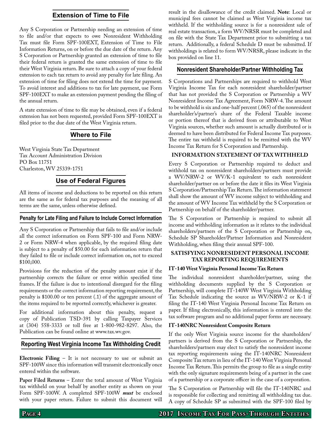#### **Extension of Time to File**

Any S Corporation or Partnership needing an extension of time to file and/or that expects to owe Nonresident Withholding Tax must file Form SPF-100EXT, Extension of Time to File Information Returns, on or before the due date of the return. Any S Corporation or Partnership granted an extension of time to file their federal return is granted the same extension of time to file their West Virginia return. Be sure to attach a copy of your federal extension to each tax return to avoid any penalty for late filing. An extension of time for filing does not extend the time for payment. To avoid interest and additions to tax for late payment, use Form SPF-100EXT to make an extension payment pending the filing of the annual return.

A state extension of time to file may be obtained, even if a federal extension has not been requested, provided Form SPF-100EXT is filed prior to the due date of the West Virginia return.

#### **Where to File**

West Virginia State Tax Department Tax Account Administration Division PO Box 11751 Charleston, WV 25339-1751

#### **Use of Federal Figures**

All items of income and deductions to be reported on this return are the same as for federal tax purposes and the meaning of all terms are the same, unless otherwise defined.

#### **Penalty for Late Filing and Failure to Include Correct Information**

Any S Corporation or Partnership that fails to file and/or include all the correct information on Form SPF-100 and Form NRW-2 or Form NRW-4 when applicable, by the required filing date is subject to a penalty of \$50.00 for each information return that they failed to file or include correct information on, not to exceed \$100,000.

Provisions for the reduction of the penalty amount exist if the partnership corrects the failure or error within specified time frames. If the failure is due to intentional disregard for the filing requirements or the correct information reporting requirement, the penalty is \$100.00 or ten percent (.1) of the aggregate amount of the items required to be reported correctly, whichever is greater.

For additional information about this penalty, request a copy of Publication TSD-391 by calling Taxpayer Services at (304) 558-3333 or toll free at 1-800-982-8297. Also, the Publication can be found online at www.tax.wv.gov.

#### **Reporting West Virginia Income Tax Withholding Credit**

**Electronic Filing** – It is not necessary to use or submit an SPF-100W since this information will transmit electronically once entered within the software.

**Paper Filed Returns** – Enter the total amount of West Virginia tax withheld on your behalf by another entity as shown on your Form SPF-100W. A completed SPF-100W *must* be enclosed with your paper return. Failure to submit this document will result in the disallowance of the credit claimed. **Note**: Local or municipal fees cannot be claimed as West Virginia income tax withheld. If the withholding source is for a nonresident sale of real estate transaction, a form WV/NRSR must be completed and on file with the State Tax Department prior to submitting a tax return. Additionally, a federal Schedule D must be submitted. If withholdings is related to form WV/NRSR, please indicate in the box provided on line 11.

#### **Nonresident Shareholder/Partner Withholding Tax**

S Corporations and Partnerships are required to withhold West Virginia Income Tax for each nonresident shareholder/partner that has not provided the S Corporation or Partnership a WV Nonresident Income Tax Agreement, Form NRW-4. The amount to be withhold is six and one-half percent (.065) of the nonresident shareholder's/partner's share of the Federal Taxable income or portion thereof that is derived from or attributable to West Virginia sources, whether such amount is actually distributed or is deemed to have been distributed for Federal Income Tax purposes. The entire tax withheld is required to be remitted with the WV Income Tax Return for S Corporation and Partnership.

#### **Information Statement of Tax Withheld**

Every S Corporation or Partnership required to deduct and withhold tax on nonresident shareholders/partners must provide a WV/NRW-2 or WV/K-1 equivalent to each nonresident shareholder/partner on or before the date it files its West Virginia S Corporation/Partnership Tax Return. The information statement shall show the amount of WV income subject to withholding and the amount of WV Income Tax withheld by the S Corporation or Partnership on behalf of the shareholder/partner.

The S Corporation or Partnership is required to submit all income and withholding information as it relates to the individual shareholders/partners of the S Corporation or Partnership on, Schedule SP Shareholder/Partner Information and Nonresident Withholding, when filing their annual SPF-100.

#### **Satisfying nonresident personal income tax reporting requirements**

#### **IT-140 West Virginia Personal Income Tax Return**

The individual nonresident shareholder/partner, using the withholding documents supplied by the S Corporation or Partnership, will complete IT-140W West Virginia Withholding Tax Schedule indicating the source as WV/NRW-2 or K-1 if filing the IT-140 West Virginia Personal Income Tax Return on paper. If filing electronically, this information is entered into the tax software program and no additional paper forms are necessary.

#### **IT-140NRC Nonresident Composite Return**

If the only West Virginia source income for the shareholders/ partners is derived from the S Corporation or Partnership, the shareholders/partners may elect to satisfy the nonresident income tax reporting requirements using the IT-140NRC Nonresident Composite Tax return in lieu of the IT-140 West Virginia Personal Income Tax Return. This permits the group to file as a single entity with the only signature requirements being of a partner in the case of a partnership or a corporate officer in the case of a corporation.

The S Corporation or Partnership will file the IT-140NRC and is responsible for collecting and remitting all withholding tax due. A copy of Schedule SP as submitted with the SPF-100 filed by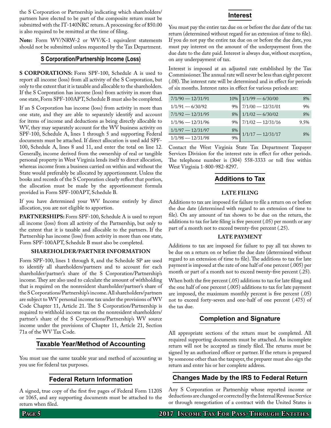the S Corporation or Partnership indicating which shareholders/ partners have elected to be part of the composite return must be submitted with the IT-140NRC return. A processing fee of \$50.00 is also required to be remitted at the time of filing.

**Note:** Form WV/NRW-2 or WV/K-1 equivalent statements should not be submitted unless requested by the Tax Department.

#### **S Corporation/Partnership Income (Loss)**

**S CORPORATIONS:** Form SPF-100, Schedule A is used to report all income (loss) from all activity of the S Corporation, but only to the extent that it is taxable and allocable to the shareholders. If the S Corporation has income (loss) from activity in more than one state, Form SPF-100APT, Schedule B must also be completed.

If an S Corporation has income (loss) from activity in more than one state, and they are able to separately identify and account for items of income and deductions as being directly allocable to WV, they may separately account for the WV business activity on SPF-100, Schedule A, lines 1 through 5 and supporting Federal documents must be attached. If direct allocation is used add SPF-100, Schedule A, lines 8 and 11, and enter the total on line 12. Generally, income derived from the ownership of real or tangible personal property in West Virginia lends itself to direct allocation, whereas income from a business carried on within and without the State would preferably be allocated by apportionment. Unless the books and records of the S Corporation clearly reflect that portion, the allocation must be made by the apportionment formula provided in Form SPF-100APT, Schedule B.

If you have determined your WV Income entirely by direct allocation, you are not eligible to apportion.

**PARTNERSHIPS:** Form SPF-100, Schedule A is used to report all income (loss) from all activity of the Partnership, but only to the extent that it is taxable and allocable to the partners. If the Partnership has income (loss) from activity in more than one state, Form SPF-100APT, Schedule B must also be completed.

#### **Shareholder/Partner Information**

Form SPF-100, lines 1 through 8, and the Schedule SP are used to identify all shareholders/partners and to account for each shareholder/partner's share of the S Corporation/Partnership's income. They are also used to calculate the amount of withholding that is required on the nonresident shareholder/partner's share of the S Corporations/Partnership's income. All shareholders/partners are subject to WV personal income tax under the provisions of WV Code Chapter 11, Article 21. The S Corporation/Partnership is required to withhold income tax on the nonresident shareholders/ partner's share of the S Corporations/Partnership's WV source income under the provisions of Chapter 11, Article 21, Section 71a of the WV Tax Code.

#### **Taxable Year/Method of Accounting**

You must use the same taxable year and method of accounting as you use for federal tax purposes.

#### **Federal Return Information**

A signed, true copy of the first five pages of Federal Form 1120S or 1065, and any supporting documents must be attached to the return when filed.

#### **Interest**

You must pay the entire tax due on or before the due date of the tax return (determined without regard for an extension of time to file). If you do not pay the entire tax due on or before the due date, you must pay interest on the amount of the underpayment from the due date to the date paid. Interest is always due, without exception, on any underpayment of tax.

Interest is imposed at an adjusted rate established by the Tax Commissioner. The annual rate will never be less than eight percent (.08). The interest rate will be determined and in effect for periods of six months. Interest rates in effect for various periods are:

| $7/1/90 - 12/31/91$ |       | $10\%$   $1/1/99 - 6/30/00$ | 8%   |
|---------------------|-------|-----------------------------|------|
| $1/1/91 - 6/30/92$  | $9\%$ | $7/1/00 - 12/31/01$         | 9%   |
| $7/1/92 - 12/31/95$ | 8%    | $1/1/02 - 6/30/02$          | 8%   |
| $1/1/96 - 12/31/96$ | 9%    | $7/1/02 - 12/31/16$         | 9.5% |
| $1/1/97 - 12/31/97$ | 8%    | $1/1/17 - 12/31/17$         | 8%   |
| $1/1/98 - 12/31/98$ | 9%    |                             |      |

Contact the West Virginia State Tax Department Taxpayer Services Division for the interest rate in effect for other periods. The telephone number is (304) 558-3333 or toll free within West Virginia 1-800-982-8297.

#### **Additions to Tax**

#### **Late Filing**

Additions to tax are imposed for failure to file a return on or before the due date (determined with regard to an extension of time to file). On any amount of tax shown to be due on the return, the additions to tax for late filing is five percent (.05) per month or any part of a month not to exceed twenty-five percent (.25).

#### **Late Payment**

Additions to tax are imposed for failure to pay all tax shown to be due on a return on or before the due date (determined without regard to an extension of time to file). The additions to tax for late payment is imposed at the rate of one half of one percent (.005) per month or part of a month not to exceed twenty-five percent (.25).

When both the five percent (.05) additions to tax for late filing and the one half of one percent (.005) additions to tax for late payment are imposed, the maximum monthly percent is five percent (.05) not to exceed forty-seven and one-half of one percent (.475) of the tax due.

#### **Completion and Signature**

All appropriate sections of the return must be completed. All required supporting documents must be attached. An incomplete return will not be accepted as timely filed. The returns must be signed by an authorized officer or partner. If the return is prepared by someone other than the taxpayer, the preparer must also sign the return and enter his or her complete address.

#### **Changes Made by the IRS to Federal Return**

Any S Corporation or Partnership whose reported income or deductions are changed or corrected by the Internal Revenue Service or through renegotiation of a contract with the United States is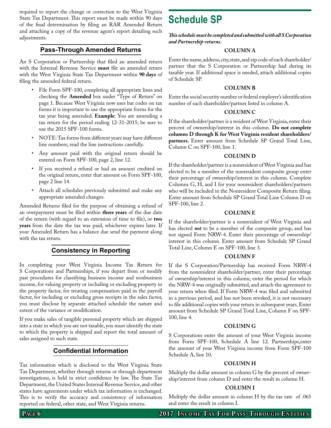required to report the change or correction to the West Virginia State Tax Department. This report must be made within 90 days of the final determination by filing an RAR Amended Return and attaching a copy of the revenue agent's report detailing such adjustments.

#### **Pass-Through Amended Returns**

An S Corporation or Partnership that filed an amended return with the Internal Revenue Service **must** file an amended return with the West Virginia State Tax Department within **90 days** of filing the amended federal return.

- File Form SPF-100, completing all appropriate lines and checking the **Amended** box under "Type of Return" on page 1. Because West Virginia now uses bar codes on tax forms it is important to use the appropriate forms for the tax year being amended. **Example**: You are amending a tax return for the period ending 12-31-2015; be sure to use the 2015 SPF-100 forms.
- NOTE: Tax forms from different years may have different line numbers; read the line instructions carefully.
- • Any amount paid with the original return should be entered on Form SPF-100, page 2, line 12.
- If you received a refund or had an amount credited on the original return, enter that amount on Form SPF-100, page 2 line 14.
- Attach all schedules previously submitted and make any appropriate amended changes.

Amended Returns filed for the purpose of obtaining a refund of an overpayment must be filed within **three years** of the due date of the return (with regard to an extension of time to file), or **two years** from the date the tax was paid, whichever expires later. If your Amended Return has a balance due send the payment along with the tax return.

#### **Consistency in Reporting**

In completing your West Virginia Income Tax Return for S Corporations and Partnerships, if you depart from or modify past procedures for classifying business income and nonbusiness income, for valuing property or including or excluding property in the property factor, for treating compensation paid in the payroll factor, for including or excluding gross receipts in the sales factor, you must disclose by separate attached schedule the nature and extent of the variance or modification.

If you make sales of tangible personal property which are shipped into a state in which you are not taxable, you must identify the state to which the property is shipped and report the total amount of sales assigned to such state.

#### **Confidential Information**

Tax information which is disclosed to the West Virginia State Tax Department, whether through returns or through department investigations, is held in strict confidence by law. The State Tax Department, the United States Internal Revenue Service, and other states have agreements under which tax information is exchanged. This is to verify the accuracy and consistency of information reported on federal, other state, and West Virginia returns.

### **Schedule SP**

*This schedule must be completed and submitted with all S Corporation and Partnership returns.*

#### **Column A**

Enter the name, address, city, state, and zip code of each shareholder/ partner that the S Corporation or Partnership had during its taxable year. If additional space is needed, attach additional copies of Schedule SP.

#### **Column B**

Enter the social security number or federal employer's identification number of each shareholder/partner listed in column A.

#### **Column C**

If the shareholder/partner is a resident of West Virginia, enter their percent of ownership/interest in this column. **Do not complete columns D through K for West Virginia resident shareholders/ partners.** Enter amount from Schedule SP Grand Total Line, Column C on SPF-100, line 1.

#### **Column D**

If the shareholder/partner is a nonresident of West Virginia and has elected to be a member of the nonresident composite group enter their percentage of ownership/interest in this column. Complete Columns G, H, and I for your nonresident shareholders/partners who will be included in the Nonresident Composite Return filing. Enter amount from Schedule SP Grand Total Line Column D on SPF-100, line 2.

#### **Column E**

If the shareholder/partner is a nonresident of West Virginia and has elected *not* to be a member of the composite group, and has not signed Form NRW-4. Enter their percentage of ownership/ interest in this column. Enter amount from Schedule SP Grand Total Line, Column E on SPF-100, line 3.

#### **Column F**

If the S Corporation/Partnership has received Form NRW-4 from the nonresident shareholder/partner, enter their percentage of ownership/interest in this column, enter the period for which the NRW-4 was originally submitted, and attach the agreement to your return when filed. If Form NRW-4 was filed and submitted in a previous period, and has not been revoked, it is not necessary to file additional copies with your return in subsequent years. Enter amount from Schedule SP Grand Total Line, Column F on SPF-100, line 4.

#### **Column G**

S Corporations enter the amount of your West Virginia income from Form SPF-100, Schedule A line 12. Partnerships,enter the amount of your West Virginia income from Form SPF-100 Schedule A, line 10.

#### **Column H**

Multiply the dollar amount in column G by the percent of ownership/interest from column D and enter the result in column H.

#### **Column I**

Multiply the dollar amount in column H by the tax rate of .065 and enter the result in column I.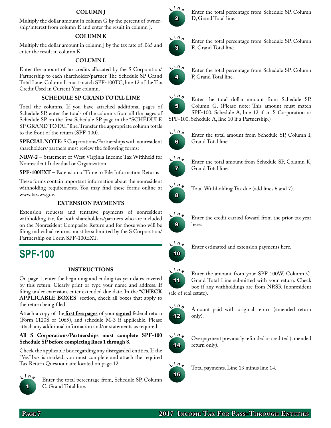#### **Column J**

Multiply the dollar amount in column G by the percent of ownership/interest from column E and enter the result in column J.

#### **Column k**

Multiply the dollar amount in column J by the tax rate of .065 and enter the result in column K.

#### **Column l**

Enter the amount of tax credits allocated by the S Corporation/ Partnership to each shareholder/partner. The Schedule SP Grand Total Line, Column L must match SPF-100TC, line 12 of the Tax Credit Used in Current Year column.

#### **Schedule SP grand total line**

Total the columns. If you have attached additional pages of Schedule SP, enter the totals of the columns from all the pages of Schedule SP on the first Schedule SP page in the "SCHEDULE SP GRAND TOTAL" line. Transfer the appropriate column totals to the front of the return (SPF-100).

**SPECIAL NOTE:** S Corporations/Partnerships with nonresident shareholders/partners must review the following forms:

**NRW-2** – Statement of West Virginia Income Tax Withheld for Nonresident Individual or Organization

**SPF-100EXT** – Extension of Time to File Information Returns

These forms contain important information about the nonresident withholding requirements. You may find these forms online at www.tax.wv.gov.

#### **Extension Payments**

Extension requests and tentative payments of nonresident withholding tax, for both shareholders/partners who are included on the Nonresident Composite Return and for those who will be filing individual returns, must be submitted by the S Corporation/ Partnership on Form SPF-100EXT.

### **SPF-100**

#### **Instructions**

On page 1, enter the beginning and ending tax year dates covered by this return. Clearly print or type your name and address. If filing under extension, enter extended due date. In the "CHECK **applicable boxes**" section, check all boxes that apply to the return being filed.

Attach a copy of the **first five pages** of your **signed** federal return (Form 1120S or 1065), and schedule M-3 if applicable. Please attach any additional information and/or statements as required.

#### **All S Corporations/Partnerships must complete SPF-100 Schedule SP before completing lines 1 through 8.**

Check the applicable box regarding any disregarded entities. If the "Yes" box is marked, you must complete and attach the required Tax Return Questionnaire located on page 12.



Enter the total percentage from, Schedule SP, Column C, Grand Total line.



Enter the total percentage from Schedule SP, Column D, Grand Total line.



Enter the total percentage from Schedule SP, Column E, Grand Total line.



Enter the total percentage from Schedule SP, Column F, Grand Total line.



Enter the total dollar amount from Schedule SP, Column G. (Please note: This amount must match SPF-100, Schedule A, line 12 if an S Corporation or SPF-100, Schedule A, line 10 if a Partnership.)



Enter the total amount from Schedule SP, Column I, Grand Total line.



Enter the total amount from Schedule SP, Column K, Grand Total line.



Total Withholding Tax due (add lines 6 and 7).



Enter the credit carried foward from the prior tax year here.



Enter estimated and extension payments here.



Enter the amount from your SPF-100W, Column C, Grand Total Line submitted with your return. Check box if any withholdings are from NRSR (nonresident sale of real estate).



Amount paid with original return (amended return only).



 **<sup>i</sup> <sup>n</sup> <sup>e</sup>** Overpayment previously refunded or credited (amended return only).



Total payments. Line 13 minus line 14.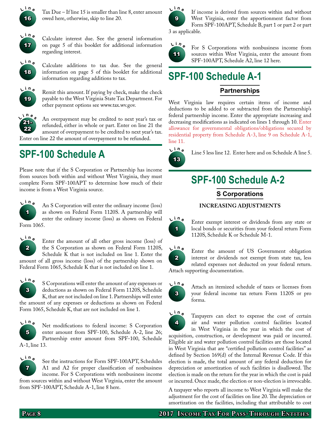

Tax Due – If line 15 is smaller than line 8, enter amount owed here, otherwise, skip to line 20.



 **<sup>i</sup> <sup>n</sup> <sup>e</sup>** Calculate interest due. See the general information on page 5 of this booklet for additional information regarding interest.



Calculate additions to tax due. See the general information on page 5 of this booklet for additional information regarding additions to tax.



Remit this amount. If paying by check, make the check payable to the West Virginia State Tax Department. For other payment options see www.tax.wv.gov.



An overpayment may be credited to next year's tax or refunded, either in whole or part. Enter on line 21 the amount of overpayment to be credited to next year's tax.

Enter on line 22 the amount of overpayment to be refunded.

### **SPF-100 Schedule A**

Please note that if the S Corporation or Partnership has income from sources both within and without West Virginia, they must complete Form SPF-100APT to determine how much of their income is from a West Virginia source.



 **<sup>i</sup> <sup>n</sup> <sup>e</sup>** An S Corporation will enter the ordinary income (loss) as shown on Federal Form 1120S. A partnership will enter the ordinary income (loss) as shown on Federal Form 1065.



Enter the amount of all other gross income (loss) of the S Corporation as shown on Federal Form 1120S,

Schedule K that is not included on line 1. Enter the amount of all gross income (loss) of the partnership shown on Federal Form 1065, Schedule K that is not included on line 1.



 **<sup>i</sup> <sup>n</sup> <sup>e</sup>** S Corporations will enter the amount of any expenses or deductions as shown on Federal Form 1120S, Schedule K, that are not included on line 1. Partnerships will enter

the amount of any expenses or deductions as shown on Federal Form 1065, Schedule K, that are not included on line 1.



Net modifications to federal income: S Corporation enter amount from SPF-100, Schedule A-2, line 26; Partnership enter amount from SPF-100, Schedule

A-1, line 13.



See the instructions for Form SPF-100APT, Schedules A1 and A2 for proper classification of nonbusiness income. For S Corporations with nonbusiness income from sources within and without West Virginia, enter the amount from SPF-100APT, Schedule A-1, line 8 here.



If income is derived from sources within and without West Virginia, enter the apportionment factor from Form SPF-100APT, Schedule B, part 1 or part 2 or part 3 as applicable.



For S Corporations with nonbusiness income from sources within West Virginia, enter the amount from SPF-100APT, Schedule A2, line 12 here.

### **SPF-100 Schedule A-1**

### **Partnerships**

West Virginia law requires certain items of income and deductions to be added to or subtracted from the Partnership's federal partnership income. Enter the appropriate increasing and decreasing modifications as indicated on lines 1 through 10. Enter allowance for governmental obligations/obligations secured by residential property from Schedule A-3, line 9 on Schedule A-1, line 11.



Line 5 less line 12. Enter here and on Schedule A line 5.

### **SPF-100 Schedule A-2**

**S Corporations**

#### **Increasing Adjustments**



Enter exempt interest or dividends from any state or local bonds or securities from your federal return Form 1120S, Schedule K or Schedule M-1.



Enter the amount of US Government obligation interest or dividends not exempt from state tax, less related expenses not deducted on your federal return. Attach supporting documentation.

3  $L^{\text{in}}$ 

Attach an itemized schedule of taxes or licenses from your federal income tax return Form 1120S or pro forma.



Taxpayers can elect to expense the cost of certain air and water pollution control facilities located in West Virginia in the year in which the cost of

acquisition, construction, or development was paid or incurred. Eligible air and water pollution control facilities are those located in West Virginia that are "certified pollution control facilities" as defined by Section 169(d) of the Internal Revenue Code. If this election is made, the total amount of any federal deduction for depreciation or amortization of such facilities is disallowed. The election is made on the return for the year in which the cost is paid or incurred. Once made, the election or non-election is irrevocable.

A taxpayer who reports all income to West Virginia will make the adjustment for the cost of facilities on line 20. The depreciation or amortization on the facilities, including that attributable to cost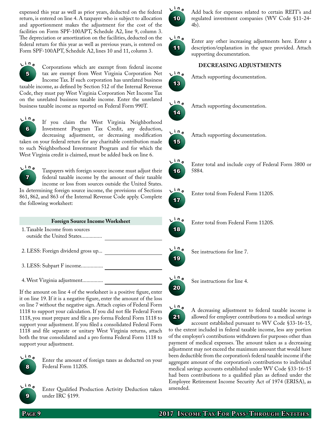expensed this year as well as prior years, deducted on the federal return, is entered on line 4. A taxpayer who is subject to allocation and apportionment makes the adjustment for the cost of the facilities on Form SPF-100APT, Schedule A2, line 9, column 3. The depreciation or amortization on the facilities, deducted on the federal return for this year as well as previous years, is entered on Form SPF-100APT, Schedule A2, lines 10 and 11, column 3.



 **<sup>i</sup> <sup>n</sup> <sup>e</sup>** Corporations which are exempt from federal income tax are exempt from West Virginia Corporation Net Income Tax. If such corporation has unrelated business

taxable income, as defined by Section 512 of the Internal Revenue Code, they must pay West Virginia Corporation Net Income Tax on the unrelated business taxable income. Enter the unrelated business taxable income as reported on Federal Form 990T.



If you claim the West Virginia Neighborhood Investment Program Tax Credit, any deduction, decreasing adjustment, or decreasing modification

taken on your federal return for any charitable contribution made to such Neighborhood Investment Program and for which the West Virginia credit is claimed, must be added back on line 6.



 **<sup>i</sup> <sup>n</sup> <sup>e</sup>** Taxpayers with foreign source income must adjust their federal taxable income by the amount of their taxable income or loss from sources outside the United States.

In determining foreign source income, the provisions of Sections 861, 862, and 863 of the Internal Revenue Code apply. Complete the following worksheet:

| <b>Foreign Source Income Worksheet</b>                      |  |  |  |  |
|-------------------------------------------------------------|--|--|--|--|
| 1. Taxable Income from sources<br>outside the United States |  |  |  |  |
| 2. LESS: Foreign dividend gross up                          |  |  |  |  |
| 3. LESS: Subpart F income                                   |  |  |  |  |
| 4. West Virginia adjustment                                 |  |  |  |  |

If the amount on line 4 of the worksheet is a positive figure, enter it on line 19. If it is a negative figure, enter the amount of the loss on line 7 without the negative sign. Attach copies of Federal Form 1118 to support your calculation. If you did not file Federal Form 1118, you must prepare and file a pro forma Federal Form 1118 to support your adjustment. If you filed a consolidated Federal Form 1118 and file separate or unitary West Virginia returns, attach both the true consolidated and a pro forma Federal Form 1118 to support your adjustment.



Enter the amount of foreign taxes as deducted on your Federal Form 1120S.



 **<sup>i</sup> <sup>n</sup> <sup>e</sup>** Enter Qualified Production Activity Deduction taken under IRC §199.



 **<sup>i</sup> <sup>n</sup> <sup>e</sup>** Add back for expenses related to certain REIT's and regulated investment companies (WV Code §11-24- 4b).



Enter any other increasing adjustments here. Enter a description/explanation in the space provided. Attach supporting documentation.

#### **Decreasing Adjustments**



**<sup>i</sup> <sup>n</sup> <sup>e</sup>** Attach supporting documentation.



**<sup>i</sup> <sup>n</sup> <sup>e</sup>** Attach supporting documentation.



**<sup>i</sup> <sup>n</sup> <sup>e</sup>** Attach supporting documentation.



 **<sup>i</sup> <sup>n</sup> <sup>e</sup>** Enter total and include copy of Federal Form 3800 or 5884.



Enter total from Federal Form 1120S.

Enter total from Federal Form 1120S.



20

**<sup>i</sup> <sup>n</sup> <sup>e</sup>** See instructions for line 7.

**<sup>i</sup> <sup>n</sup> <sup>e</sup>** See instructions for line 4.

21  $\frac{\ln n}{2}$  **<sup>i</sup> <sup>n</sup> <sup>e</sup>** A decreasing adjustment to federal taxable income is allowed for employer contributions to a medical savings account established pursuant to WV Code §33-16-15, to the extent included in federal taxable income, less any portion of the employer's contributions withdrawn for purposes other than payment of medical expenses. The amount taken as a decreasing adjustment may not exceed the maximum amount that would have been deductible from the corporation's federal taxable income if the aggregate amount of the corporation's contributions to individual medical savings accounts established under WV Code §33-16-15 had been contributions to a qualified plan as defined under the Employee Retirement Income Security Act of 1974 (ERISA), as amended.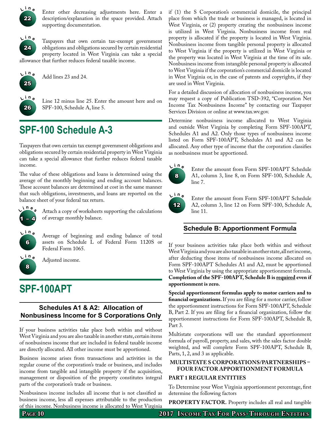

Enter other decreasing adjustments here. Enter a description/explanation in the space provided. Attach supporting documentation.



Taxpayers that own certain tax-exempt government obligations and obligations secured by certain residential property located in West Virginia can take a special allowance that further reduces federal taxable income.



**<sup>i</sup> <sup>n</sup> <sup>e</sup>** Add lines 23 and 24.



Line 12 minus line 25. Enter the amount here and on SPF-100, Schedule A, line 5.

### **SPF-100 Schedule A-3**

Taxpayers that own certain tax exempt government obligations and obligations secured by certain residential property in West Virginia can take a special allowance that further reduces federal taxable income.

The value of these obligations and loans is determined using the average of the monthly beginning and ending account balances. These account balances are determined at cost in the same manner that such obligations, investments, and loans are reported on the balance sheet of your federal tax return.



Attach a copy of worksheets supporting the calculations of average monthly balance.

 $L^{\text{in}}$ e Average of beginning and ending balance of total assets on Schedule L of Federal Form 1120S or Federal Form 1065.



6

**<sup>i</sup> <sup>n</sup> <sup>e</sup>** Adjusted income.

### **SPF-100APT**

#### **Schedules A1 & A2: Allocation of Nonbusiness Income for S Corporations Only**

If your business activities take place both within and without West Virginia and you are also taxable in another state, certain items of nonbusiness income that are included in federal taxable income are directly allocated. All other income must be apportioned.

Business income arises from transactions and activities in the regular course of the corporation's trade or business, and includes income from tangible and intangible property if the acquisition, management or disposition of the property constitutes integral parts of the corporation's trade or business.

Nonbusiness income includes all income that is not classified as business income, less all expenses attributable to the production of this income. Nonbusiness income is allocated to West Virginia if (1) the S Corporation's commercial domicile, the principal place from which the trade or business is managed, is located in West Virginia, or (2) property creating the nonbusiness income is utilized in West Virginia. Nonbusiness income from real property is allocated if the property is located in West Virginia. Nonbusiness income from tangible personal property is allocated to West Virginia if the property is utilized in West Virginia or the property was located in West Virginia at the time of its sale. Nonbusiness income from intangible personal property is allocated to West Virginia if the corporation's commercial domicile is located in West Virginia or, in the case of patents and copyrights, if they are used in West Virginia.

For a detailed discussion of allocation of nonbusiness income, you may request a copy of Publication TSD-392, "Corporation Net Income Tax Nonbusiness Income" by contacting our Taxpayer Services Division or online at www.tax.wv.gov.

Determine nonbusiness income allocated to West Virginia and outside West Virginia by completing Form SPF-100APT, Schedules A1 and A2. Only those types of nonbusiness income listed on Form SPF-100APT, Schedules A1 and A2 can be allocated. Any other type of income that the corporation classifies as nonbusiness must be apportioned.



Enter the amount from Form SPF-100APT Schedule A1, column 3, line 8, on Form SPF-100, Schedule A, line 7.



Enter the amount from Form SPF-100APT Schedule A2, column 3, line 12 on Form SPF-100, Schedule A, line 11.

### **Schedule B: Apportionment Formula**

If your business activities take place both within and without West Virginia and you are also taxable in another state, all net income, after deducting those items of nonbusiness income allocated on Form SPF-100APT Schedules A1 and A2, must be apportioned to West Virginia by using the appropriate apportionment formula. **Completion of the SPF-100APT, Schedule B is required even if apportionment is zero.**

**Special apportionment formulas apply to motor carriers and to financial organizations.** If you are filing for a motor carrier, follow the apportionment instructions for Form SPF-100APT, Schedule B, Part 2. If you are filing for a financial organization, follow the apportionment instructions for Form SPF-100APT, Schedule B, Part 3.

Multistate corporations will use the standard apportionment formula of payroll, property, and sales, with the sales factor double weighted, and will complete Form SPF-100APT, Schedule B, Parts, 1, 2, and 3 as applicable.

#### **Multistate S corporations/partnerships – four factor apportionment formula**

#### **Part 1 regular entities**

To Determine your West Virginia apportionment percentage, first determine the following factors

PROPERTY FACTOR. Property includes all real and tangible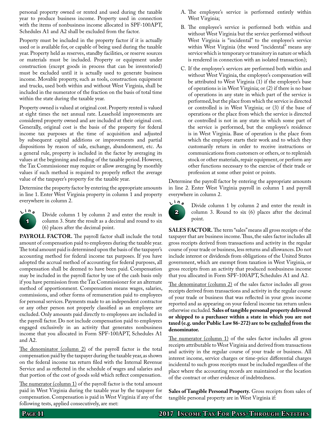personal property owned or rented and used during the taxable year to produce business income. Property used in connection with the items of nonbusiness income allocated in SPF-100APT, Schedules A1 and A2 shall be excluded from the factor.

Property must be included in the property factor if it is actually used or is available for, or capable of being used during the taxable year. Property held as reserves, standby facilities, or reserve sources or materials must be included. Property or equipment under construction (except goods in process that can be inventoried) must be excluded until it is actually used to generate business income. Movable property, such as tools, construction equipment and trucks, used both within and without West Virginia, shall be included in the numerator of the fraction on the basis of total time within the state during the taxable year.

Property owned is valued at original cost. Property rented is valued at eight times the net annual rate. Leasehold improvements are considered property owned and are included at their original cost. Generally, original cost is the basis of the property for federal income tax purposes at the time of acquisition and adjusted by subsequent capital additions or improvements and partial dispositions by reason of sale, exchange, abandonment, etc. As a general rule, property is included in the factor by averaging its values at the beginning and ending of the taxable period. However, the Tax Commissioner may require or allow averaging by monthly values if such method is required to properly reflect the average value of the taxpayer's property for the taxable year.

Determine the property factor by entering the appropriate amounts in line 1. Enter West Virginia property in column 1 and property everywhere in column 2.



Divide column 1 by column 2 and enter the result in column 3. State the result as a decimal and round to six (6) places after the decimal point.

**PAYROLL FACTOR.** The payroll factor shall include the total amount of compensation paid to employees during the taxable year. The total amount paid is determined upon the basis of the taxpayer's accounting method for federal income tax purposes. If you have adopted the accrual method of accounting for federal purposes, all compensation shall be deemed to have been paid. Compensation may be included in the payroll factor by use of the cash basis only if you have permission from the Tax Commissioner for an alternate method of apportionment. Compensation means wages, salaries, commissions, and other forms of remuneration paid to employees for personal services. Payments made to an independent contractor or any other person not properly classified as an employee are excluded. Only amounts paid directly to employees are included in the payroll factor. Do not include compensation paid to employees engaged exclusively in an activity that generates nonbusiness income that you allocated in Form SPF-100APT, Schedules A1 and A2.

The denominator (column 2) of the payroll factor is the total compensation paid by the taxpayer during the taxable year, as shown on the federal income tax return filed with the Internal Revenue Service and as reflected in the schedule of wages and salaries and that portion of the cost of goods sold which reflect compensation.

The numerator (column 1) of the payroll factor is the total amount paid in West Virginia during the taxable year by the taxpayer for compensation. Compensation is paid in West Virginia if any of the following tests, applied consecutively, are met:

- A. The employee's service is performed entirely within West Virginia;
- B. The employee's service is performed both within and without West Virginia but the service performed without West Virginia is "incidental" to the employee's service within West Virginia (the word "incidental" means any service which is temporary or transitory in nature or which is rendered in connection with an isolated transaction);
- C. If the employee's services are performed both within and without West Virginia, the employee's compensation will be attributed to West Virginia (1) if the employee's base of operations is in West Virginia; or (2) if there is no base of operations in any state in which part of the service is performed, but the place from which the service is directed or controlled is in West Virginia; or (3) if the base of operations or the place from which the service is directed or controlled is not in any state in which some part of the service is performed, but the employee's residence is in West Virginia. Base of operation is the place from which the employee starts their work and to which they customarily return in order to receive instructions or communications from customers or others, or to replenish stock or other materials, repair equipment, or perform any other functions necessary to the exercise of their trade or profession at some other point or points.

Determine the payroll factor by entering the appropriate amounts in line 2. Enter West Virginia payroll in column 1 and payroll everywhere in column 2.



Divide column 1 by column 2 and enter the result in column 3. Round to six (6) places after the decimal point.

**SALES FACTOR.** The term "sales" means all gross receipts of the taxpayer that are business income. Thus, the sales factor includes all gross receipts derived from transactions and activity in the regular course of your trade or business, less returns and allowances. Do not include interest or dividends from obligations of the United States government, which are exempt from taxation in West Virginia, or gross receipts from an activity that produced nonbusiness income that you allocated in Form SPF-100APT, Schedules A1 and A2.

The denominator (column 2) of the sales factor includes all gross receipts derived from transactions and activity in the regular course of your trade or business that was reflected in your gross income reported and as appearing on your federal income tax return unless otherwise excluded. **Sales of tangible personal property delivered or shipped to a purchaser within a state in which you are not taxed (e.g. under Public Law 86-272) are to be excluded from the denominator.**

The numerator (column 1) of the sales factor includes all gross receipts attributable to West Virginia and derived from transactions and activity in the regular course of your trade or business. All interest income, service charges or time-price differential charges incidental to such gross receipts must be included regardless of the place where the accounting records are maintained or the location of the contract or other evidence of indebtedness.

**Sales of Tangible Personal Property.** Gross receipts from sales of tangible personal property are in West Virginia if: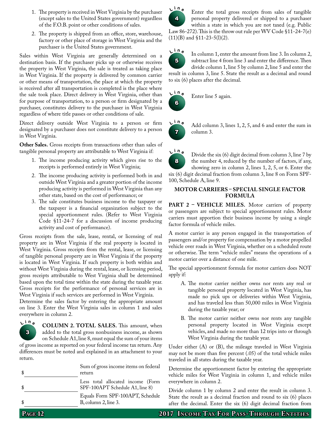- 1. The property is received in West Virginia by the purchaser (except sales to the United States government) regardless of the F.O.B. point or other conditions of sales.
- 2. The property is shipped from an office, store, warehouse, factory or other place of storage in West Virginia and the purchaser is the United States government.

Sales within West Virginia are generally determined on a destination basis. If the purchaser picks up or otherwise receives the property in West Virginia, the sale is treated as taking place in West Virginia. If the property is delivered by common carrier or other means of transportation, the place at which the property is received after all transportation is completed is the place where the sale took place. Direct delivery in West Virginia, other than for purpose of transportation, to a person or firm designated by a purchaser, constitutes delivery to the purchaser in West Virginia regardless of where title passes or other conditions of sale.

Direct delivery outside West Virginia to a person or firm designated by a purchaser does not constitute delivery to a person in West Virginia.

**Other Sales.** Gross receipts from transactions other than sales of tangible personal property are attributable to West Virginia if:

- 1. The income producing activity which gives rise to the receipts is performed entirely in West Virginia;
- 2. The income producing activity is performed both in and outside West Virginia and a greater portion of the income producing activity is performed in West Virginia than any other state, based on the cost of performance; or
- 3. The sale constitutes business income to the taxpayer or the taxpayer is a financial organization subject to the special apportionment rules. (Refer to West Virginia Code §11-24-7 for a discussion of income producing activity and cost of performance).

Gross receipts from the sale, lease, rental, or licensing of real property are in West Virginia if the real property is located in West Virginia. Gross receipts from the rental, lease, or licensing of tangible personal property are in West Virginia if the property is located in West Virginia. If such property is both within and without West Virginia during the rental, lease, or licensing period, gross receipts attributable to West Virginia shall be determined based upon the total time within the state during the taxable year. Gross receipts for the performance of personal services are in West Virginia if such services are performed in West Virginia.

Determine the sales factor by entering the appropriate amount on line 3. Enter the West Virginia sales in column 1 and sales everywhere in column 2.

3  $L^{\text{in}}$ e **<sup>i</sup> <sup>n</sup> <sup>e</sup> Column 2. Total sales.** This amount, when added to the total gross nonbusiness income, as shown on Schedule A1, line 8, must equal the sum of your items

of gross income as reported on your federal income tax return. Any differences must be noted and explained in an attachment to your return.

| Sum of gross income items on federal<br>return                       |  |  |
|----------------------------------------------------------------------|--|--|
| Less total allocated income (Form<br>SPF-100APT Schedule A1, line 8) |  |  |
| Equals Form SPF-100APT, Schedule<br>$B,$ column 2, line 3.           |  |  |



Enter the total gross receipts from sales of tangible personal property delivered or shipped to a purchaser within a state in which you are not taxed (e.g. Public

Law 86-272). This is the throw out rule per WV Code §11-24-7(e)  $(11)(B)$  and §11-23-5(l)(2).



In column 1, enter the amount from line 3. In column 2, subtract line 4 from line 3 and enter the difference. Then divide column 1, line 5 by column 2, line 5 and enter the result in column 3, line 5. State the result as a decimal and round to six (6) places after the decimal.

6  $V^{\text{in}}$ **Enter line 5 again.** 



Add column 3, lines 1, 2, 5, and 6 and enter the sum in column 3.



Divide the six (6) digit decimal from column 3, line 7 by the number 4, reduced by the number of factors, if any, showing zero in column 2, lines 1, 2, 5, or 6. Enter the six (6) digit decimal fraction from column 3, line 8 on Form SPF-100, Schedule A, line 9.

#### **Motor Carriers – Special Single Factor Formula**

**PART 2 - VEHICLE MILES.** Motor carriers of property or passengers are subject to special apportionment rules. Motor carriers must apportion their business income by using a single factor formula of vehicle miles.

A motor carrier is any person engaged in the transportation of passengers and/or property for compensation by a motor propelled vehicle over roads in West Virginia, whether on a scheduled route or otherwise. The term "vehicle miles" means the operations of a motor carrier over a distance of one mile.

The special apportionment formula for motor carriers does NOT apply if:

- A. The motor carrier neither owns nor rents any real or tangible personal property located in West Virginia, has made no pick ups or deliveries within West Virginia, and has traveled less than 50,000 miles in West Virginia during the taxable year; or
- B. The motor carrier neither owns nor rents any tangible personal property located in West Virginia except vehicles, and made no more than 12 trips into or through West Virginia during the taxable year.

Under either (A) or (B), the mileage traveled in West Virginia may not be more than five percent (.05) of the total vehicle miles traveled in all states during the taxable year.

Determine the apportionment factor by entering the appropriate vehicle miles for West Virginia in column 1, and vehicle miles everywhere in column 2.

Divide column 1 by column 2 and enter the result in column 3. State the result as a decimal fraction and round to six (6) places after the decimal. Enter the six (6) digit decimal fraction from

**PAGE 12 2017 INCOME TAX FOR PASS-THROUGH ENTITIES**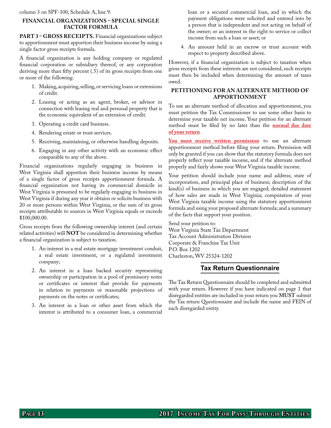column 3 on SPF-100, Schedule A, line 9.

#### **Financial Organizations – Special Single Factor Formula**

PART 3-GROSS RECEIPTS. Financial organizations subject to apportionment must apportion their business income by using a single factor gross receipts formula.

A financial organization is any holding company or regulated financial corporation or subsidiary thereof, or any corporation deriving more than fifty percent (.5) of its gross receipts from one or more of the following:

- 1. Making, acquiring, selling, or servicing loans or extensions of credit.
- 2. Leasing or acting as an agent, broker, or advisor in connection with leasing real and personal property that is the economic equivalent of an extension of credit.
- 3. Operating a credit card business.
- 4. Rendering estate or trust services.
- 5. Receiving, maintaining, or otherwise handling deposits.
- 6. Engaging in any other activity with an economic effect comparable to any of the above.

Financial organizations regularly engaging in business in West Virginia shall apportion their business income by means of a single factor of gross receipts apportionment formula. A financial organization not having its commercial domicile in West Virginia is presumed to be regularly engaging in business in West Virginia if during any year it obtains or solicits business with 20 or more persons within West Virginia, or the sum of its gross receipts attributable to sources in West Virginia equals or exceeds \$100,000.00.

Gross receipts from the following ownership interest (and certain related activities) will **NOT** be considered in determining whether a financial organization is subject to taxation.

- 1. An interest in a real estate mortgage investment conduit, a real estate investment, or a regulated investment company;
- 2. An interest in a loan backed security representing ownership or participation in a pool of promissory notes or certificates or interest that provide for payments in relation to payments or reasonable projections of payments on the notes or certificates;
- 3. An interest in a loan or other asset from which the interest is attributed to a consumer loan, a commercial

loan or a secured commercial loan, and in which the payment obligations were solicited and entered into by a person that is independent and not acting on behalf of the owner; or an interest in the right to service or collect income from such a loan or asset; or

4. An amount held in an escrow or trust account with respect to property described above.

However, if a financial organization is subject to taxation when gross receipts from these interests are not considered, such receipts must then be included when determining the amount of taxes owed.

#### **Petitioning For An Alternate Method of Apportionment**

To use an alternate method of allocation and apportionment, you must petition the Tax Commissioner to use some other basis to determine your taxable net income. Your petition for an alternate method must be filed by no later than the **normal due date of your return**.

**You must receive written permission** to use an alternate apportionment method before filing your return. Permission will only be granted if you can show that the statutory formula does not properly reflect your taxable income, and if the alternate method properly and fairly shows your West Virginia taxable income.

Your petition should include your name and address; state of incorporation, and principal place of business; description of the kind(s) of business in which you are engaged; detailed statement of how sales are made in West Virginia; computation of your West Virginia taxable income using the statutory apportionment formula and using your proposed alternate formula; and a summary of the facts that support your position.

Send your petition to: West Virginia State Tax Department Tax Account Administration Division Corporate & Franchise Tax Unit P.O. Box 1202 Charleston, WV 25324-1202

#### **Tax Return Questionnaire**

The Tax Return Questionnaire should be completed and submitted with your return. However if you have indicated on page 1 that disregarded entities are included in your return you **MUST** submit the Tax return Questionnaire and include the name and FEIN of each disregarded entity.